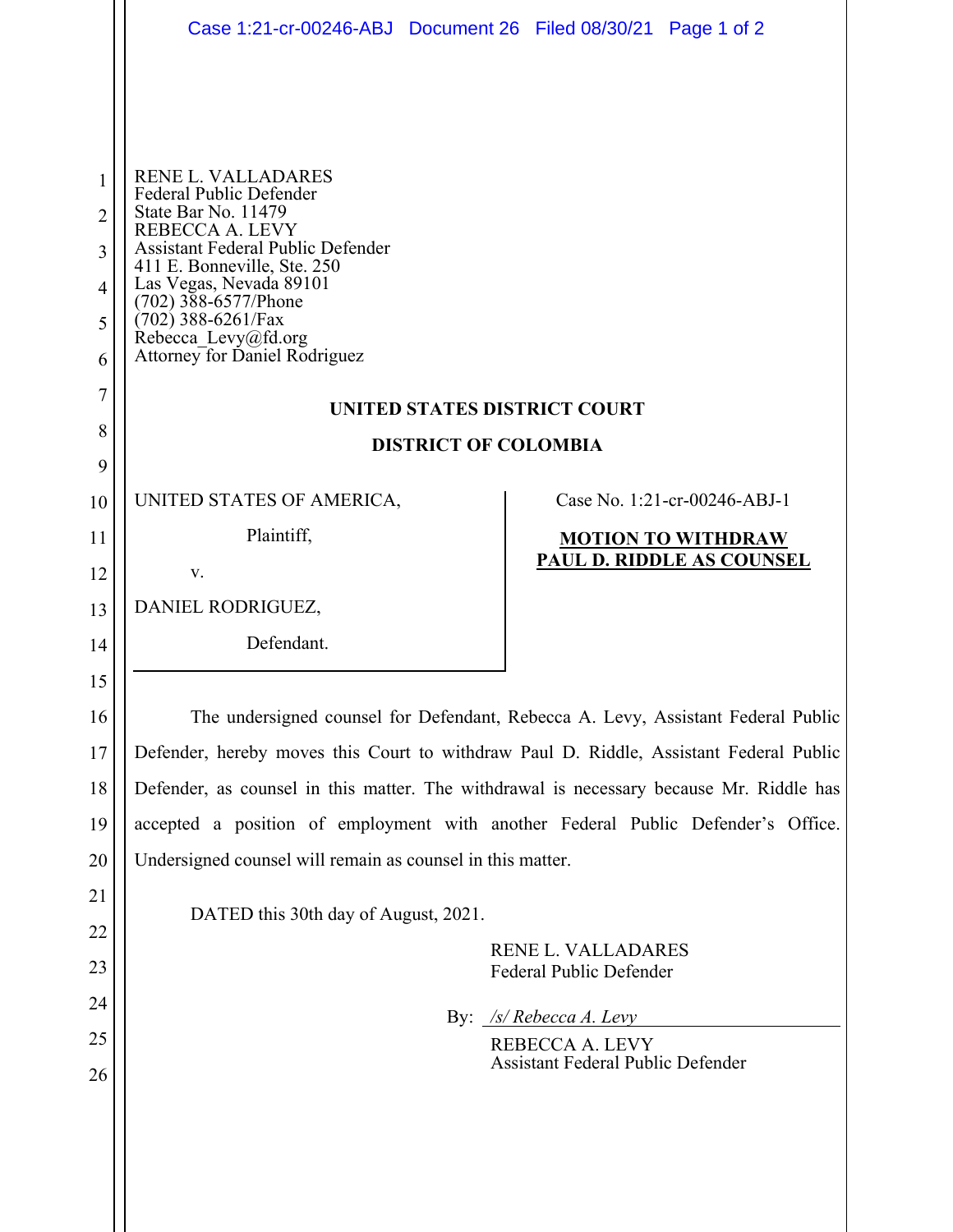|        | Case 1:21-cr-00246-ABJ Document 26 Filed 08/30/21 Page 1 of 2                                                                |                                                             |                              |  |
|--------|------------------------------------------------------------------------------------------------------------------------------|-------------------------------------------------------------|------------------------------|--|
|        |                                                                                                                              |                                                             |                              |  |
| 1<br>2 | <b>RENE L. VALLADARES</b><br>Federal Public Defender<br>State Bar No. 11479<br>REBECCA A. LEVY                               |                                                             |                              |  |
| 3<br>4 | <b>Assistant Federal Public Defender</b><br>411 E. Bonneville, Ste. 250<br>Las Vegas, Nevada 89101<br>$(702)$ 388-6577/Phone |                                                             |                              |  |
| 5<br>6 | $(702)$ 388-6261/Fax<br>Rebecca_Levy@fd.org<br>Attorney for Daniel Rodriguez                                                 |                                                             |                              |  |
| 7      | UNITED STATES DISTRICT COURT                                                                                                 |                                                             |                              |  |
| 8<br>9 | <b>DISTRICT OF COLOMBIA</b>                                                                                                  |                                                             |                              |  |
| 10     | UNITED STATES OF AMERICA,                                                                                                    |                                                             | Case No. 1:21-cr-00246-ABJ-1 |  |
| 11     | Plaintiff,                                                                                                                   |                                                             | <b>MOTION TO WITHDRAW</b>    |  |
| 12     | V.                                                                                                                           |                                                             | PAUL D. RIDDLE AS COUNSEL    |  |
| 13     | DANIEL RODRIGUEZ,                                                                                                            |                                                             |                              |  |
| 14     | Defendant.                                                                                                                   |                                                             |                              |  |
| 15     |                                                                                                                              |                                                             |                              |  |
| 16     | The undersigned counsel for Defendant, Rebecca A. Levy, Assistant Federal Public                                             |                                                             |                              |  |
| 17     | Defender, hereby moves this Court to withdraw Paul D. Riddle, Assistant Federal Public                                       |                                                             |                              |  |
| 18     | Defender, as counsel in this matter. The withdrawal is necessary because Mr. Riddle has                                      |                                                             |                              |  |
| 19     | accepted a position of employment with another Federal Public Defender's Office.                                             |                                                             |                              |  |
| 20     | Undersigned counsel will remain as counsel in this matter.                                                                   |                                                             |                              |  |
| 21     | DATED this 30th day of August, 2021.                                                                                         |                                                             |                              |  |
| 22     |                                                                                                                              | RENE L. VALLADARES                                          |                              |  |
| 23     |                                                                                                                              | Federal Public Defender                                     |                              |  |
| 24     |                                                                                                                              | By: $\sqrt{s}$ Rebecca A. Levy                              |                              |  |
| 25     |                                                                                                                              | REBECCA A. LEVY<br><b>Assistant Federal Public Defender</b> |                              |  |
| 26     |                                                                                                                              |                                                             |                              |  |
|        |                                                                                                                              |                                                             |                              |  |